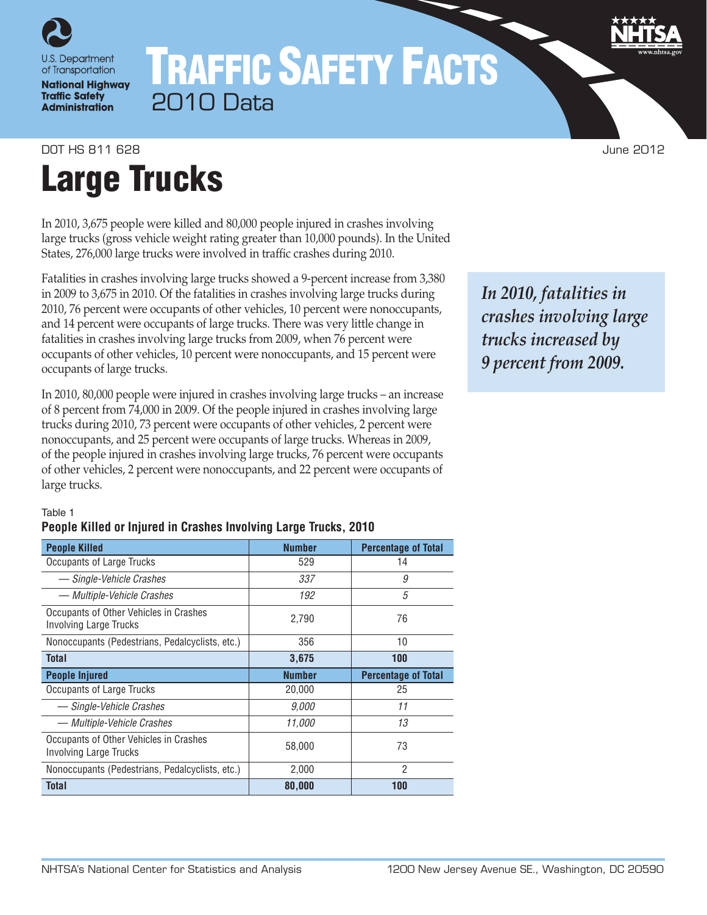

**National Highway Traffic Safety Administration** 

# TRAFFIC SAFETY FACTS 2010 Data

#### DOT HS 811 628 June 2012

# Large Trucks

In 2010, 3,675 people were killed and 80,000 people injured in crashes involving large trucks (gross vehicle weight rating greater than 10,000 pounds). In the United States, 276,000 large trucks were involved in traffic crashes during 2010.

Fatalities in crashes involving large trucks showed a 9-percent increase from 3,380 in 2009 to 3,675 in 2010. Of the fatalities in crashes involving large trucks during 2010, 76 percent were occupants of other vehicles, 10 percent were nonoccupants, and 14 percent were occupants of large trucks. There was very little change in fatalities in crashes involving large trucks from 2009, when 76 percent were occupants of other vehicles, 10 percent were nonoccupants, and 15 percent were occupants of large trucks.

In 2010, 80,000 people were injured in crashes involving large trucks – an increase of 8 percent from 74,000 in 2009. Of the people injured in crashes involving large trucks during 2010, 73 percent were occupants of other vehicles, 2 percent were nonoccupants, and 25 percent were occupants of large trucks. Whereas in 2009, of the people injured in crashes involving large trucks, 76 percent were occupants of other vehicles, 2 percent were nonoccupants, and 22 percent were occupants of large trucks.

# *In 2010, fatalities in crashes involving large trucks increased by 9 percent from 2009.*

#### Table 1

#### **People Killed or Injured in Crashes Involving Large Trucks, 2010**

| <b>People Killed</b>                                                    | <b>Number</b> | <b>Percentage of Total</b> |
|-------------------------------------------------------------------------|---------------|----------------------------|
| <b>Occupants of Large Trucks</b>                                        | 529           | 14                         |
| - Single-Vehicle Crashes                                                | 337           | 9                          |
| — Multiple-Vehicle Crashes                                              | 192           | 5                          |
| Occupants of Other Vehicles in Crashes<br><b>Involving Large Trucks</b> | 2,790         | 76                         |
| Nonoccupants (Pedestrians, Pedalcyclists, etc.)                         | 356           | 10                         |
| <b>Total</b>                                                            | 3,675         | 100                        |
|                                                                         |               |                            |
| <b>People Injured</b>                                                   | <b>Number</b> | <b>Percentage of Total</b> |
| Occupants of Large Trucks                                               | 20,000        | 25                         |
| — Single-Vehicle Crashes                                                | 9,000         | 11                         |
| — Multiple-Vehicle Crashes                                              | 11.000        | 13                         |
| Occupants of Other Vehicles in Crashes<br><b>Involving Large Trucks</b> | 58,000        | 73                         |
| Nonoccupants (Pedestrians, Pedalcyclists, etc.)                         | 2,000         | 2                          |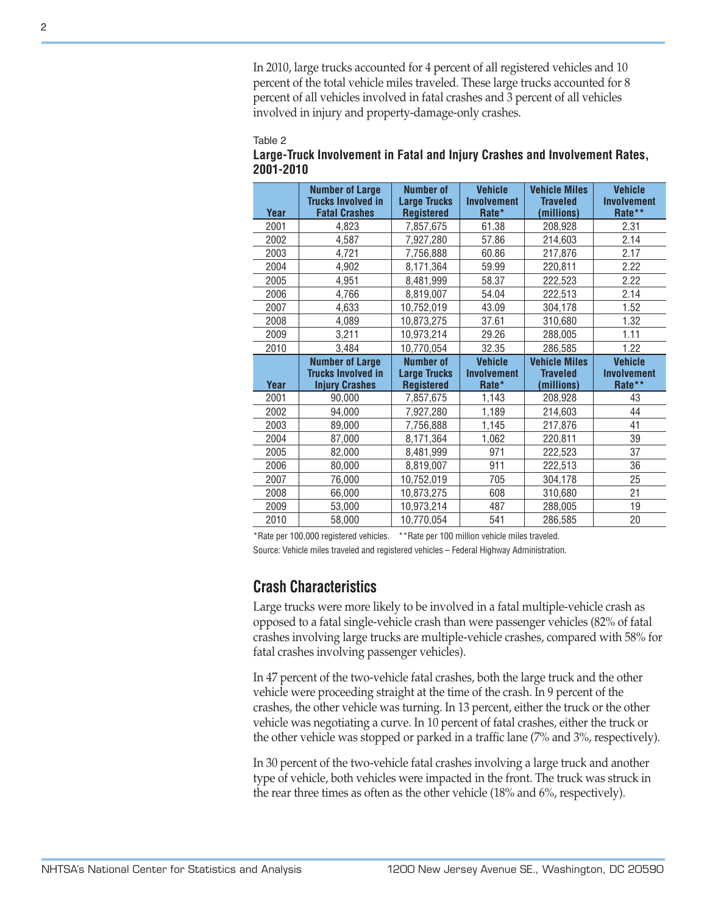#### Table 2

|                      | In 2010, large trucks accounted for 4 percent of all registered vehicles and 10<br>percent of the total vehicle miles traveled. These large trucks accounted for 8<br>percent of all vehicles involved in fatal crashes and 3 percent of all vehicles<br>involved in injury and property-damage-only crashes.                                                                                                                                |                                                              |                                                 |                                                       |                                         |
|----------------------|----------------------------------------------------------------------------------------------------------------------------------------------------------------------------------------------------------------------------------------------------------------------------------------------------------------------------------------------------------------------------------------------------------------------------------------------|--------------------------------------------------------------|-------------------------------------------------|-------------------------------------------------------|-----------------------------------------|
| Table 2<br>2001-2010 | Large-Truck Involvement in Fatal and Injury Crashes and Involvement Rates,                                                                                                                                                                                                                                                                                                                                                                   |                                                              |                                                 |                                                       |                                         |
| Year                 | <b>Number of Large</b><br><b>Trucks Involved in</b><br><b>Fatal Crashes</b>                                                                                                                                                                                                                                                                                                                                                                  | <b>Number of</b><br><b>Large Trucks</b><br><b>Registered</b> | <b>Vehicle</b><br><b>Involvement</b><br>Rate*   | <b>Vehicle Miles</b><br><b>Traveled</b><br>(millions) | <b>Vehicle</b><br>Involvement<br>Rate** |
| 2001                 | 4,823                                                                                                                                                                                                                                                                                                                                                                                                                                        | 7,857,675                                                    | 61.38                                           | 208,928                                               | 2.31                                    |
| 2002                 | 4,587                                                                                                                                                                                                                                                                                                                                                                                                                                        | 7,927,280                                                    | 57.86                                           | 214,603                                               | 2.14                                    |
| 2003                 | 4,721                                                                                                                                                                                                                                                                                                                                                                                                                                        | 7,756,888                                                    | 60.86                                           | 217,876                                               | 2.17                                    |
| 2004                 | 4,902                                                                                                                                                                                                                                                                                                                                                                                                                                        | 8,171,364                                                    | 59.99                                           | 220,811                                               | 2.22                                    |
| 2005                 | 4,951                                                                                                                                                                                                                                                                                                                                                                                                                                        | 8,481,999                                                    | 58.37                                           | 222,523                                               | 2.22                                    |
| 2006                 | 4,766                                                                                                                                                                                                                                                                                                                                                                                                                                        | 8,819,007                                                    | 54.04                                           | 222,513                                               | 2.14                                    |
| 2007                 | 4,633                                                                                                                                                                                                                                                                                                                                                                                                                                        | 10,752,019                                                   | 43.09                                           | 304,178                                               | 1.52                                    |
| 2008                 | 4,089                                                                                                                                                                                                                                                                                                                                                                                                                                        | 10,873,275                                                   | 37.61                                           | 310,680                                               | 1.32                                    |
| 2009                 | 3,211                                                                                                                                                                                                                                                                                                                                                                                                                                        | 10,973,214                                                   | 29.26                                           | 288,005                                               | 1.11                                    |
| 2010                 | 3,484                                                                                                                                                                                                                                                                                                                                                                                                                                        | 10,770,054                                                   | 32.35                                           | 286,585                                               | 1.22                                    |
|                      | <b>Number of Large</b><br><b>Trucks Involved in</b>                                                                                                                                                                                                                                                                                                                                                                                          | <b>Number of</b><br><b>Large Trucks</b>                      | <b>Vehicle</b><br>Involvement                   | <b>Vehicle Miles</b><br><b>Traveled</b>               | <b>Vehicle</b><br><b>Involvement</b>    |
| Year                 | <b>Injury Crashes</b>                                                                                                                                                                                                                                                                                                                                                                                                                        | <b>Registered</b>                                            | Rate*                                           | (millions)                                            | Rate**                                  |
| 2001                 | 90,000                                                                                                                                                                                                                                                                                                                                                                                                                                       | 7,857,675                                                    | 1,143                                           | 208,928                                               | 43                                      |
| 2002                 | 94,000                                                                                                                                                                                                                                                                                                                                                                                                                                       | 7,927,280                                                    | 1,189                                           | 214,603                                               | 44                                      |
| 2003                 | 89,000                                                                                                                                                                                                                                                                                                                                                                                                                                       | 7,756,888                                                    | 1,145                                           | 217,876                                               | 41                                      |
| 2004                 | 87,000                                                                                                                                                                                                                                                                                                                                                                                                                                       | 8,171,364                                                    | 1,062                                           | 220,811                                               | 39                                      |
| 2005                 | 82,000                                                                                                                                                                                                                                                                                                                                                                                                                                       | 8,481,999                                                    | 971                                             | 222,523                                               | 37                                      |
| 2006                 | 80,000                                                                                                                                                                                                                                                                                                                                                                                                                                       | 8,819,007                                                    | 911                                             | 222,513                                               | 36                                      |
| 2007                 | 76,000                                                                                                                                                                                                                                                                                                                                                                                                                                       | 10,752,019                                                   | 705                                             | 304,178                                               | 25                                      |
| 2008                 | 66,000                                                                                                                                                                                                                                                                                                                                                                                                                                       | 10,873,275                                                   | 608                                             | 310,680                                               | 21                                      |
| 2009                 | 53,000                                                                                                                                                                                                                                                                                                                                                                                                                                       | 10,973,214                                                   | 487                                             | 288,005                                               | 19                                      |
| 2010                 | 58,000                                                                                                                                                                                                                                                                                                                                                                                                                                       | 10,770,054                                                   | 541                                             | 286,585                                               | 20                                      |
|                      | *Rate per 100,000 registered vehicles.<br>Source: Vehicle miles traveled and registered vehicles - Federal Highway Administration.<br><b>Crash Characteristics</b><br>Large trucks were more likely to be involved in a fatal multiple-vehicle crash as                                                                                                                                                                                      |                                                              | ** Rate per 100 million vehicle miles traveled. |                                                       |                                         |
|                      | opposed to a fatal single-vehicle crash than were passenger vehicles (82% of fatal<br>crashes involving large trucks are multiple-vehicle crashes, compared with 58% for<br>fatal crashes involving passenger vehicles).                                                                                                                                                                                                                     |                                                              |                                                 |                                                       |                                         |
|                      | In 47 percent of the two-vehicle fatal crashes, both the large truck and the other<br>vehicle were proceeding straight at the time of the crash. In 9 percent of the<br>crashes, the other vehicle was turning. In 13 percent, either the truck or the other<br>vehicle was negotiating a curve. In 10 percent of fatal crashes, either the truck or<br>the other vehicle was stopped or parked in a traffic lane (7% and 3%, respectively). |                                                              |                                                 |                                                       |                                         |
|                      | In 30 percent of the two-vehicle fatal crashes involving a large truck and another<br>type of vehicle, both vehicles were impacted in the front. The truck was struck in<br>the rear three times as often as the other vehicle (18% and 6%, respectively).                                                                                                                                                                                   |                                                              |                                                 |                                                       |                                         |

#### **Large-Truck Involvement in Fatal and Injury Crashes and Involvement Rates, 2001-2010**

# **Crash Characteristics**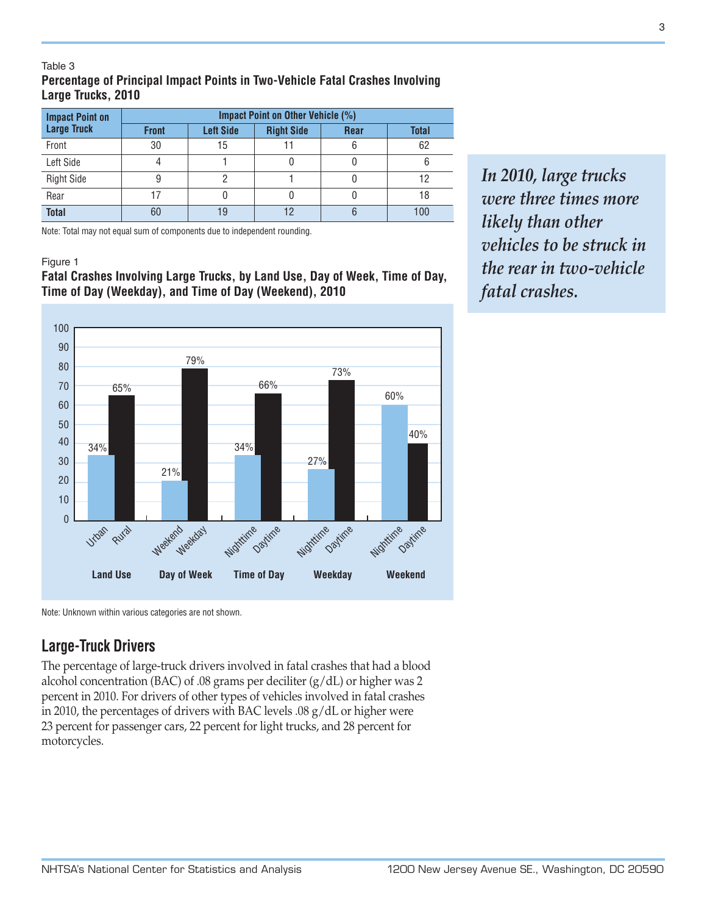#### Table 3 **Percentage of Principal Impact Points in Two-Vehicle Fatal Crashes Involving Large Trucks, 2010**

| <b>Impact Point on</b> | Impact Point on Other Vehicle (%) |                  |                   |             |              |  |
|------------------------|-----------------------------------|------------------|-------------------|-------------|--------------|--|
| <b>Large Truck</b>     | <b>Front</b>                      | <b>Left Side</b> | <b>Right Side</b> | <b>Rear</b> | <b>Total</b> |  |
| Front                  | 30                                | 15               |                   | 6           | 62           |  |
| Left Side              |                                   |                  |                   |             |              |  |
| <b>Right Side</b>      |                                   |                  |                   |             | 12           |  |
| Rear                   |                                   |                  |                   |             | 18           |  |
| <b>Total</b>           | 60                                | 19               |                   | 6           | 100          |  |

Note: Total may not equal sum of components due to independent rounding.

#### Figure 1

#### **Fatal Crashes Involving Large Trucks, by Land Use, Day of Week, Time of Day, Time of Day (Weekday), and Time of Day (Weekend), 2010**



Note: Unknown within various categories are not shown.

# **Large-Truck Drivers**

The percentage of large-truck drivers involved in fatal crashes that had a blood alcohol concentration (BAC) of .08 grams per deciliter (g/dL) or higher was 2 percent in 2010. For drivers of other types of vehicles involved in fatal crashes in 2010, the percentages of drivers with BAC levels .08 g/dL or higher were 23 percent for passenger cars, 22 percent for light trucks, and 28 percent for motorcycles.

*In 2010, large trucks were three times more likely than other vehicles to be struck in the rear in two-vehicle fatal crashes.*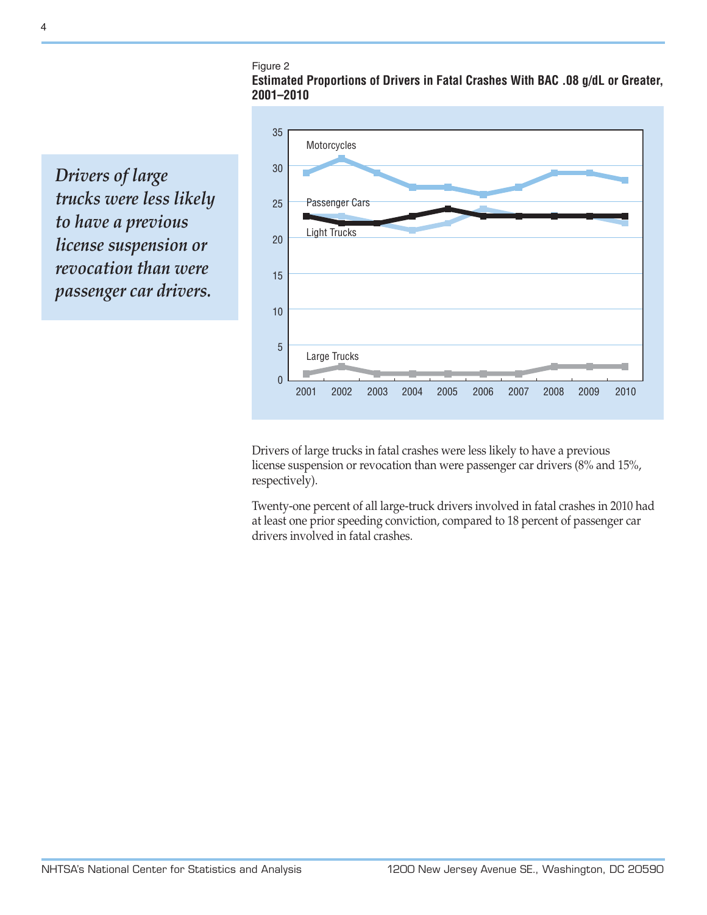Figure 2

**Estimated Proportions of Drivers in Fatal Crashes With BAC .08 g/dL or Greater, 2001–2010**

*Drivers of large trucks were less likely to have a previous license suspension or revocation than were passenger car drivers.*



Drivers of large trucks in fatal crashes were less likely to have a previous license suspension or revocation than were passenger car drivers (8% and 15%, respectively).

Twenty-one percent of all large-truck drivers involved in fatal crashes in 2010 had at least one prior speeding conviction, compared to 18 percent of passenger car drivers involved in fatal crashes.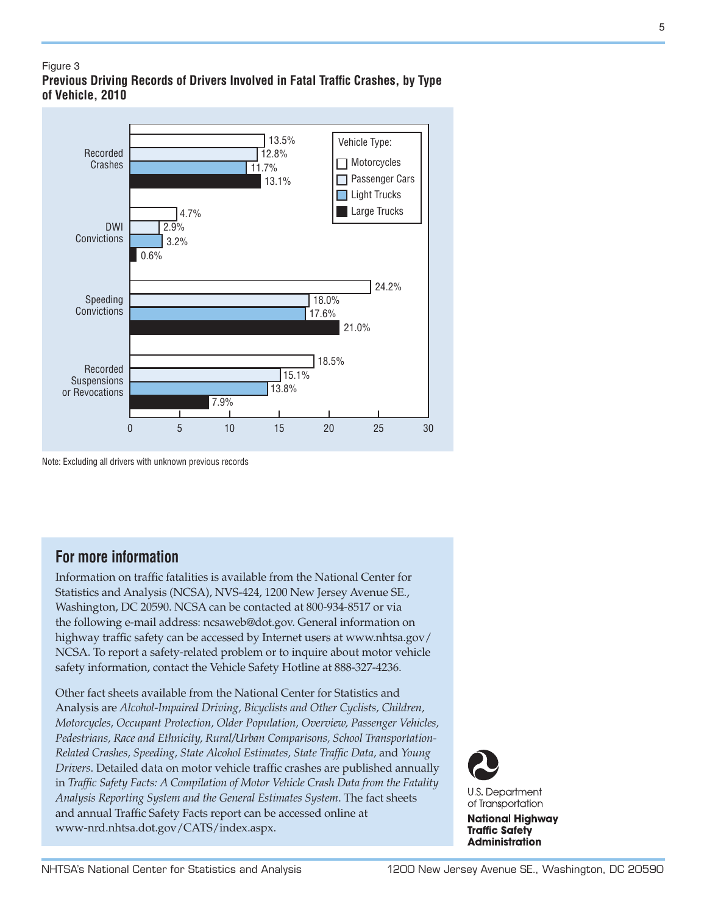#### Figure 3 **Previous Driving Records of Drivers Involved in Fatal Traffic Crashes, by Type of Vehicle, 2010**



Note: Excluding all drivers with unknown previous records

# **For more information**

Information on traffic fatalities is available from the National Center for Statistics and Analysis (NCSA), NVS-424, 1200 New Jersey Avenue SE., Washington, DC 20590. NCSA can be contacted at 800-934-8517 or via the following e-mail address: [ncsaweb@dot.gov](mailto:ncsaweb%40dot.gov?subject=ncsaweb%40dot.gov). General information on highway traffic safety can be accessed by Internet users at [www.nhtsa.gov/](www.nhtsa.gov/NCSA) [NCSA](www.nhtsa.gov/NCSA). To report a safety-related problem or to inquire about motor vehicle safety information, contact the Vehicle Safety Hotline at 888-327-4236.

Other fact sheets available from the National Center for Statistics and Analysis are *Alcohol-Impaired Driving, Bicyclists and Other Cyclists, Children, Motorcycles, Occupant Protection, Older Population, Overview, Passenger Vehicles, Pedestrians, Race and Ethnicity, Rural/Urban Comparisons, School Transportation-Related Crashes, Speeding, State Alcohol Estimates, State Traffic Data,* and *Young Drivers*. Detailed data on motor vehicle traffic crashes are published annually in *Traffic Safety Facts: A Compilation of Motor Vehicle Crash Data from the Fatality Analysis Reporting System and the General Estimates System*. The fact sheets and annual Traffic Safety Facts report can be accessed online at [www-nrd.nhtsa.dot.gov/CATS/index.aspx.](http://www-nrd.nhtsa.dot.gov/CATS/index.aspx)



**National Highway Traffic Safety Administration**